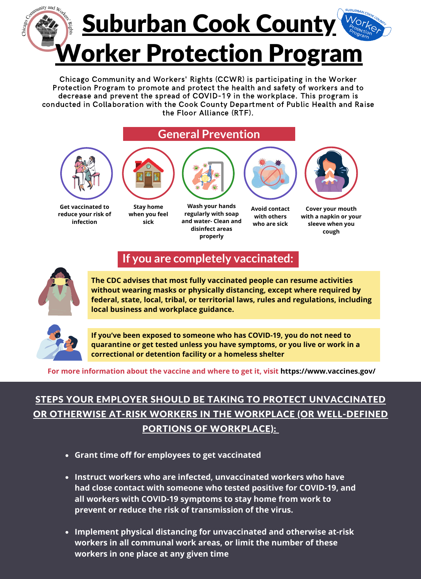

Chicago Community and Workers' Rights (CCWR) is participating in the Worker Protection Program to promote and protect the health and safety of workers and to decrease and prevent the spread of COVID-19 in the workplace. This program is conducted in Collaboration with the Cook County Department of Public Health and Raise the Floor Alliance (RTF).

### **General Prevention**



**Get vaccinated to reduce your risk of infection**



**when you feel sick**



**Wash your hands regularly with soap and water- Clean and disinfect areas properly**



**Avoid contact with others who are sick**

**Cover your mouth**

**with a napkin or your sleeve when you cough**



# **If you are completely vaccinated:**

**The CDC advises that most fully vaccinated people can resume activities without wearing masks or physically distancing, except where required by federal, state, local, tribal, or territorial laws, rules and regulations, including local business and workplace guidance.**



**If you've been exposed to someone who has COVID-19, you do not need to quarantine or get tested unless you have symptoms, or you live or work in a correctional or detention facility or a homeless shelter**

**For more information about the vaccine and where to get it, visit https://www.vaccines.gov/**

### STEPS YOUR EMPLOYER SHOULD BE TAKING TO PROTECT UNVACCINATED OR OTHERWISE AT-RISK WORKERS IN THE WORKPLACE (OR WELL-DEFINED PORTIONS OF WORKPLACE):

- **Grant time off for employees to get vaccinated**
- **Instruct workers who are infected, unvaccinated workers who have had close contact with someone who tested positive for COVID-19, and all workers with COVID-19 symptoms to stay home from work to prevent or reduce the risk of transmission of the virus.**
- **Implement physical distancing for unvaccinated and otherwise at-risk workers in all communal work areas, or limit the number of these workers in one place at any given time**